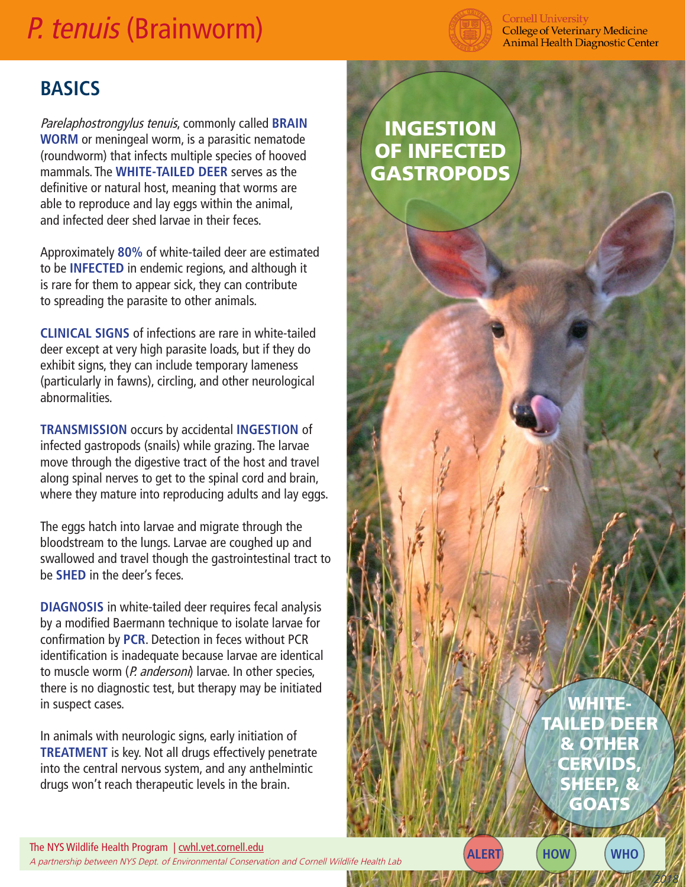## P. tenuis (Brainworm)



**Cornell University College of Veterinary Medicine Animal Health Diagnostic Center** 

## **BASICS**

Parelaphostrongylus tenuis, commonly called **BRAIN WORM** or meningeal worm, is a parasitic nematode (roundworm) that infects multiple species of hooved mammals. The **WHITE-TAILED DEER** serves as the definitive or natural host, meaning that worms are able to reproduce and lay eggs within the animal, and infected deer shed larvae in their feces.

Approximately **80%** of white-tailed deer are estimated to be **INFECTED** in endemic regions, and although it is rare for them to appear sick, they can contribute to spreading the parasite to other animals.

**CLINICAL SIGNS** of infections are rare in white-tailed deer except at very high parasite loads, but if they do exhibit signs, they can include temporary lameness (particularly in fawns), circling, and other neurological abnormalities.

**TRANSMISSION** occurs by accidental **INGESTION** of infected gastropods (snails) while grazing. The larvae move through the digestive tract of the host and travel along spinal nerves to get to the spinal cord and brain, where they mature into reproducing adults and lay eggs.

The eggs hatch into larvae and migrate through the bloodstream to the lungs. Larvae are coughed up and swallowed and travel though the gastrointestinal tract to be **SHED** in the deer's feces.

**DIAGNOSIS** in white-tailed deer requires fecal analysis by a modified Baermann technique to isolate larvae for confirmation by **PCR**. Detection in feces without PCR identification is inadequate because larvae are identical to muscle worm (P. andersoni) larvae. In other species, there is no diagnostic test, but therapy may be initiated in suspect cases.

In animals with neurologic signs, early initiation of **TREATMENT** is key. Not all drugs effectively penetrate into the central nervous system, and any anthelmintic drugs won't reach therapeutic levels in the brain.

## INGESTION OF INFECTED **GASTROPODS**

The NYS Wildlife Health Program | cwhl.vet.cornell.edu Ine NYS Wildlife Health Program | <u>Cwnl.Vet.cornell.edu</u><br>A partnership between NYS Dept. of Environmental Conservation and Cornell Wildlife Health Lab **ALERT ALERT ALERT** 

WHITE-TAILED DEER & OTHER **CERVIDS** SHEEP, & **GOATS** 

*2018*